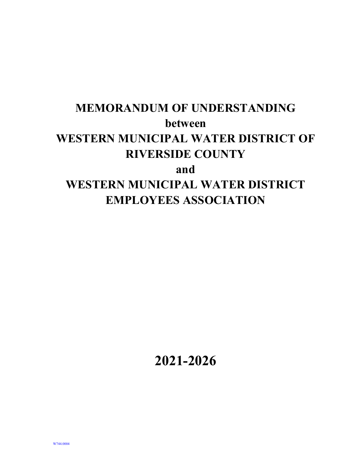# **MEMORANDUM OF UNDERSTANDING between WESTERN MUNICIPAL WATER DISTRICT OF RIVERSIDE COUNTY and WESTERN MUNICIPAL WATER DISTRICT EMPLOYEES ASSOCIATION**

**2021-2026**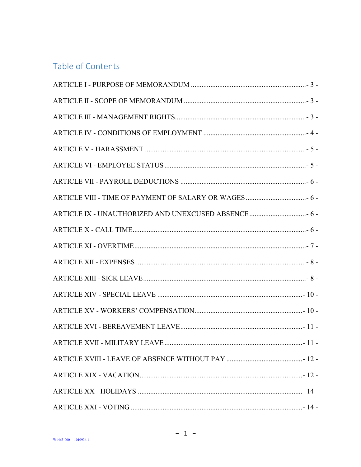## Table of Contents

| ARTICLE IX - UNAUTHORIZED AND UNEXCUSED ABSENCE  6 - |
|------------------------------------------------------|
|                                                      |
|                                                      |
|                                                      |
|                                                      |
|                                                      |
|                                                      |
|                                                      |
|                                                      |
|                                                      |
|                                                      |
|                                                      |
|                                                      |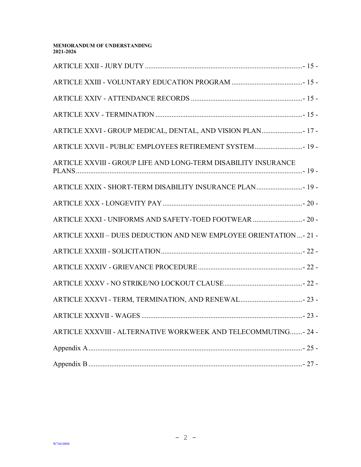| ARTICLE XXVI - GROUP MEDICAL, DENTAL, AND VISION PLAN 17 -         |
|--------------------------------------------------------------------|
| ARTICLE XXVII - PUBLIC EMPLOYEES RETIREMENT SYSTEM 19 -            |
| ARTICLE XXVIII - GROUP LIFE AND LONG-TERM DISABILITY INSURANCE     |
| ARTICLE XXIX - SHORT-TERM DISABILITY INSURANCE PLAN 19 -           |
|                                                                    |
| ARTICLE XXXI - UNIFORMS AND SAFETY-TOED FOOTWEAR  20 -             |
| ARTICLE XXXII - DUES DEDUCTION AND NEW EMPLOYEE ORIENTATION - 21 - |
|                                                                    |
|                                                                    |
|                                                                    |
| ARTICLE XXXVI - TERM, TERMINATION, AND RENEWAL 23 -                |
|                                                                    |
| ARTICLE XXXVIII - ALTERNATIVE WORKWEEK AND TELECOMMUTING- 24 -     |
|                                                                    |
|                                                                    |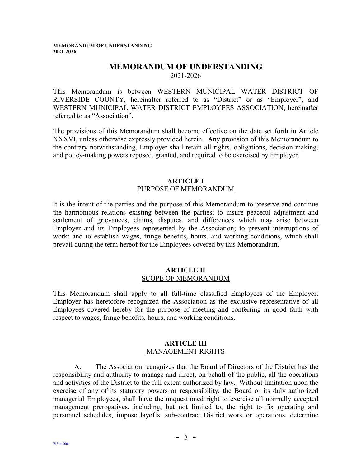## **MEMORANDUM OF UNDERSTANDING**

2021-2026

This Memorandum is between WESTERN MUNICIPAL WATER DISTRICT OF RIVERSIDE COUNTY, hereinafter referred to as "District" or as "Employer", and WESTERN MUNICIPAL WATER DISTRICT EMPLOYEES ASSOCIATION, hereinafter referred to as "Association".

The provisions of this Memorandum shall become effective on the date set forth in Article XXXVI, unless otherwise expressly provided herein. Any provision of this Memorandum to the contrary notwithstanding, Employer shall retain all rights, obligations, decision making, and policy-making powers reposed, granted, and required to be exercised by Employer.

#### **ARTICLE I** PURPOSE OF MEMORANDUM

<span id="page-3-0"></span>It is the intent of the parties and the purpose of this Memorandum to preserve and continue the harmonious relations existing between the parties; to insure peaceful adjustment and settlement of grievances, claims, disputes, and differences which may arise between Employer and its Employees represented by the Association; to prevent interruptions of work; and to establish wages, fringe benefits, hours, and working conditions, which shall prevail during the term hereof for the Employees covered by this Memorandum.

#### **ARTICLE II** SCOPE OF MEMORANDUM

<span id="page-3-1"></span>This Memorandum shall apply to all full-time classified Employees of the Employer. Employer has heretofore recognized the Association as the exclusive representative of all Employees covered hereby for the purpose of meeting and conferring in good faith with respect to wages, fringe benefits, hours, and working conditions.

#### **ARTICLE III** MANAGEMENT RIGHTS

<span id="page-3-2"></span>A. The Association recognizes that the Board of Directors of the District has the responsibility and authority to manage and direct, on behalf of the public, all the operations and activities of the District to the full extent authorized by law. Without limitation upon the exercise of any of its statutory powers or responsibility, the Board or its duly authorized managerial Employees, shall have the unquestioned right to exercise all normally accepted management prerogatives, including, but not limited to, the right to fix operating and personnel schedules, impose layoffs, sub-contract District work or operations, determine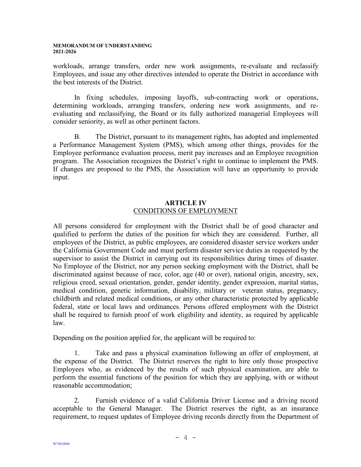workloads, arrange transfers, order new work assignments, re-evaluate and reclassify Employees, and issue any other directives intended to operate the District in accordance with the best interests of the District.

In fixing schedules, imposing layoffs, sub-contracting work or operations, determining workloads, arranging transfers, ordering new work assignments, and reevaluating and reclassifying, the Board or its fully authorized managerial Employees will consider seniority, as well as other pertinent factors.

B. The District, pursuant to its management rights, has adopted and implemented a Performance Management System (PMS), which among other things, provides for the Employee performance evaluation process, merit pay increases and an Employee recognition program. The Association recognizes the District's right to continue to implement the PMS. If changes are proposed to the PMS, the Association will have an opportunity to provide input.

## **ARTICLE IV** CONDITIONS OF EMPLOYMENT

<span id="page-4-0"></span>All persons considered for employment with the District shall be of good character and qualified to perform the duties of the position for which they are considered. Further, all employees of the District, as public employees, are considered disaster service workers under the California Government Code and must perform disaster service duties as requested by the supervisor to assist the District in carrying out its responsibilities during times of disaster. No Employee of the District, nor any person seeking employment with the District, shall be discriminated against because of race, color, age (40 or over), national origin, ancestry, sex, religious creed, sexual orientation, gender, gender identity, gender expression, marital status, medical condition, genetic information, disability, military or veteran status, pregnancy, childbirth and related medical conditions, or any other characteristic protected by applicable federal, state or local laws and ordinances. Persons offered employment with the District shall be required to furnish proof of work eligibility and identity, as required by applicable law.

Depending on the position applied for, the applicant will be required to:

1. Take and pass a physical examination following an offer of employment, at the expense of the District. The District reserves the right to hire only those prospective Employees who, as evidenced by the results of such physical examination, are able to perform the essential functions of the position for which they are applying, with or without reasonable accommodation;

2. Furnish evidence of a valid California Driver License and a driving record acceptable to the General Manager. The District reserves the right, as an insurance requirement, to request updates of Employee driving records directly from the Department of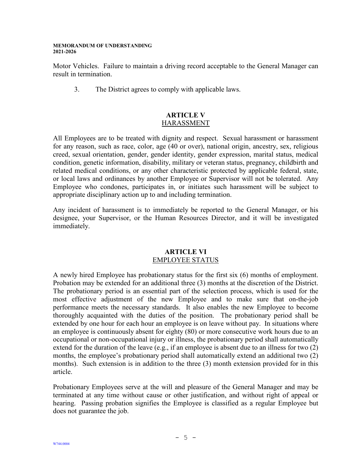Motor Vehicles. Failure to maintain a driving record acceptable to the General Manager can result in termination.

3. The District agrees to comply with applicable laws.

## **ARTICLE V** HARASSMENT

<span id="page-5-0"></span>All Employees are to be treated with dignity and respect. Sexual harassment or harassment for any reason, such as race, color, age (40 or over), national origin, ancestry, sex, religious creed, sexual orientation, gender, gender identity, gender expression, marital status, medical condition, genetic information, disability, military or veteran status, pregnancy, childbirth and related medical conditions, or any other characteristic protected by applicable federal, state, or local laws and ordinances by another Employee or Supervisor will not be tolerated. Any Employee who condones, participates in, or initiates such harassment will be subject to appropriate disciplinary action up to and including termination.

Any incident of harassment is to immediately be reported to the General Manager, or his designee, your Supervisor, or the Human Resources Director, and it will be investigated immediately.

## **ARTICLE VI** EMPLOYEE STATUS

<span id="page-5-1"></span>A newly hired Employee has probationary status for the first six (6) months of employment. Probation may be extended for an additional three (3) months at the discretion of the District. The probationary period is an essential part of the selection process, which is used for the most effective adjustment of the new Employee and to make sure that on-the-job performance meets the necessary standards. It also enables the new Employee to become thoroughly acquainted with the duties of the position. The probationary period shall be extended by one hour for each hour an employee is on leave without pay. In situations where an employee is continuously absent for eighty (80) or more consecutive work hours due to an occupational or non-occupational injury or illness, the probationary period shall automatically extend for the duration of the leave (e.g., if an employee is absent due to an illness for two (2) months, the employee's probationary period shall automatically extend an additional two (2) months). Such extension is in addition to the three (3) month extension provided for in this article.

Probationary Employees serve at the will and pleasure of the General Manager and may be terminated at any time without cause or other justification, and without right of appeal or hearing. Passing probation signifies the Employee is classified as a regular Employee but does not guarantee the job.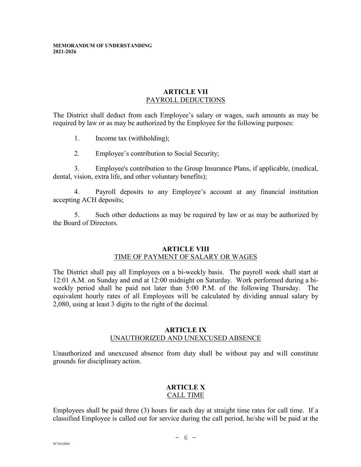## **ARTICLE VII** PAYROLL DEDUCTIONS

<span id="page-6-0"></span>The District shall deduct from each Employee's salary or wages, such amounts as may be required by law or as may be authorized by the Employee for the following purposes:

- 1. Income tax (withholding);
- 2. Employee's contribution to Social Security;

3. Employee's contribution to the Group Insurance Plans, if applicable, (medical, dental, vision, extra life, and other voluntary benefits);

4. Payroll deposits to any Employee's account at any financial institution accepting ACH deposits;

5. Such other deductions as may be required by law or as may be authorized by the Board of Directors.

#### **ARTICLE VIII** TIME OF PAYMENT OF SALARY OR WAGES

<span id="page-6-1"></span>The District shall pay all Employees on a bi-weekly basis. The payroll week shall start at 12:01 A.M. on Sunday and end at 12:00 midnight on Saturday. Work performed during a biweekly period shall be paid not later than 5:00 P.M. of the following Thursday. The equivalent hourly rates of all Employees will be calculated by dividing annual salary by 2,080, using at least 3 digits to the right of the decimal.

#### **ARTICLE IX** UNAUTHORIZED AND UNEXCUSED ABSENCE

<span id="page-6-2"></span>Unauthorized and unexcused absence from duty shall be without pay and will constitute grounds for disciplinary action.

#### **ARTICLE X** CALL TIME

<span id="page-6-3"></span>Employees shall be paid three (3) hours for each day at straight time rates for call time. If a classified Employee is called out for service during the call period, he/she will be paid at the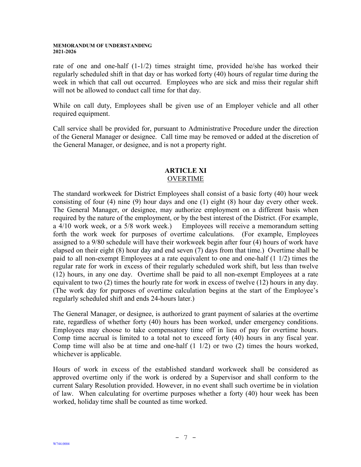rate of one and one-half  $(1-1/2)$  times straight time, provided he/she has worked their regularly scheduled shift in that day or has worked forty (40) hours of regular time during the week in which that call out occurred. Employees who are sick and miss their regular shift will not be allowed to conduct call time for that day.

While on call duty, Employees shall be given use of an Employer vehicle and all other required equipment.

Call service shall be provided for, pursuant to Administrative Procedure under the direction of the General Manager or designee. Call time may be removed or added at the discretion of the General Manager, or designee, and is not a property right.

#### **ARTICLE XI** OVERTIME

<span id="page-7-0"></span>The standard workweek for District Employees shall consist of a basic forty (40) hour week consisting of four (4) nine (9) hour days and one (1) eight (8) hour day every other week. The General Manager, or designee, may authorize employment on a different basis when required by the nature of the employment, or by the best interest of the District. (For example, a 4/10 work week, or a 5/8 work week.) Employees will receive a memorandum setting forth the work week for purposes of overtime calculations. (For example, Employees assigned to a 9/80 schedule will have their workweek begin after four (4) hours of work have elapsed on their eight (8) hour day and end seven (7) days from that time.) Overtime shall be paid to all non-exempt Employees at a rate equivalent to one and one-half (1 1/2) times the regular rate for work in excess of their regularly scheduled work shift, but less than twelve (12) hours, in any one day. Overtime shall be paid to all non-exempt Employees at a rate equivalent to two (2) times the hourly rate for work in excess of twelve (12) hours in any day. (The work day for purposes of overtime calculation begins at the start of the Employee's regularly scheduled shift and ends 24-hours later.)

The General Manager, or designee, is authorized to grant payment of salaries at the overtime rate, regardless of whether forty (40) hours has been worked, under emergency conditions. Employees may choose to take compensatory time off in lieu of pay for overtime hours. Comp time accrual is limited to a total not to exceed forty (40) hours in any fiscal year. Comp time will also be at time and one-half  $(1\ 1/2)$  or two  $(2)$  times the hours worked, whichever is applicable.

Hours of work in excess of the established standard workweek shall be considered as approved overtime only if the work is ordered by a Supervisor and shall conform to the current Salary Resolution provided. However, in no event shall such overtime be in violation of law. When calculating for overtime purposes whether a forty (40) hour week has been worked, holiday time shall be counted as time worked.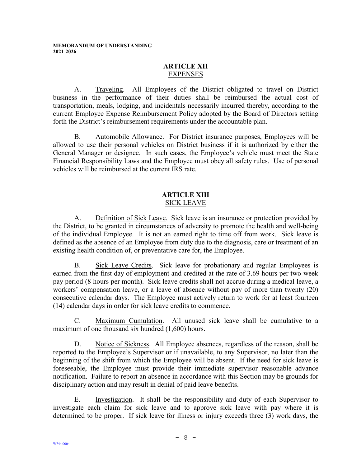## **ARTICLE XII** EXPENSES

<span id="page-8-0"></span>A. Traveling. All Employees of the District obligated to travel on District business in the performance of their duties shall be reimbursed the actual cost of transportation, meals, lodging, and incidentals necessarily incurred thereby, according to the current Employee Expense Reimbursement Policy adopted by the Board of Directors setting forth the District's reimbursement requirements under the accountable plan.

B. Automobile Allowance. For District insurance purposes, Employees will be allowed to use their personal vehicles on District business if it is authorized by either the General Manager or designee. In such cases, the Employee's vehicle must meet the State Financial Responsibility Laws and the Employee must obey all safety rules. Use of personal vehicles will be reimbursed at the current IRS rate.

#### **ARTICLE XIII** SICK LEAVE

<span id="page-8-1"></span>A. Definition of Sick Leave. Sick leave is an insurance or protection provided by the District, to be granted in circumstances of adversity to promote the health and well-being of the individual Employee. It is not an earned right to time off from work. Sick leave is defined as the absence of an Employee from duty due to the diagnosis, care or treatment of an existing health condition of, or preventative care for, the Employee.

B. Sick Leave Credits. Sick leave for probationary and regular Employees is earned from the first day of employment and credited at the rate of 3.69 hours per two-week pay period (8 hours per month). Sick leave credits shall not accrue during a medical leave, a workers' compensation leave, or a leave of absence without pay of more than twenty (20) consecutive calendar days. The Employee must actively return to work for at least fourteen (14) calendar days in order for sick leave credits to commence.

C. Maximum Cumulation. All unused sick leave shall be cumulative to a maximum of one thousand six hundred (1,600) hours.

D. Notice of Sickness. All Employee absences, regardless of the reason, shall be reported to the Employee's Supervisor or if unavailable, to any Supervisor, no later than the beginning of the shift from which the Employee will be absent. If the need for sick leave is foreseeable, the Employee must provide their immediate supervisor reasonable advance notification. Failure to report an absence in accordance with this Section may be grounds for disciplinary action and may result in denial of paid leave benefits.

E. Investigation. It shall be the responsibility and duty of each Supervisor to investigate each claim for sick leave and to approve sick leave with pay where it is determined to be proper. If sick leave for illness or injury exceeds three (3) work days, the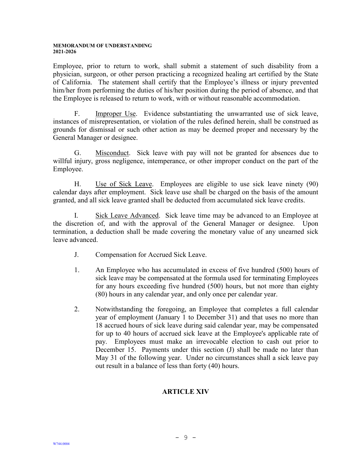Employee, prior to return to work, shall submit a statement of such disability from a physician, surgeon, or other person practicing a recognized healing art certified by the State of California. The statement shall certify that the Employee's illness or injury prevented him/her from performing the duties of his/her position during the period of absence, and that the Employee is released to return to work, with or without reasonable accommodation.

F. Improper Use. Evidence substantiating the unwarranted use of sick leave, instances of misrepresentation, or violation of the rules defined herein, shall be construed as grounds for dismissal or such other action as may be deemed proper and necessary by the General Manager or designee.

G. Misconduct. Sick leave with pay will not be granted for absences due to willful injury, gross negligence, intemperance, or other improper conduct on the part of the Employee.

H. Use of Sick Leave. Employees are eligible to use sick leave ninety (90) calendar days after employment. Sick leave use shall be charged on the basis of the amount granted, and all sick leave granted shall be deducted from accumulated sick leave credits.

I. Sick Leave Advanced. Sick leave time may be advanced to an Employee at the discretion of, and with the approval of the General Manager or designee. Upon termination, a deduction shall be made covering the monetary value of any unearned sick leave advanced.

- J. Compensation for Accrued Sick Leave.
- 1. An Employee who has accumulated in excess of five hundred (500) hours of sick leave may be compensated at the formula used for terminating Employees for any hours exceeding five hundred (500) hours, but not more than eighty (80) hours in any calendar year, and only once per calendar year.
- 2. Notwithstanding the foregoing, an Employee that completes a full calendar year of employment (January 1 to December 31) and that uses no more than 18 accrued hours of sick leave during said calendar year, may be compensated for up to 40 hours of accrued sick leave at the Employee's applicable rate of pay. Employees must make an irrevocable election to cash out prior to December 15. Payments under this section (J) shall be made no later than May 31 of the following year. Under no circumstances shall a sick leave pay out result in a balance of less than forty (40) hours.

## **ARTICLE XIV**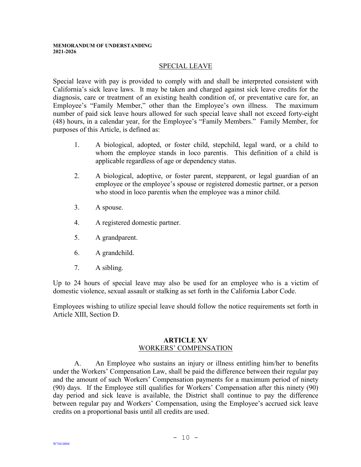#### SPECIAL LEAVE

<span id="page-10-0"></span>Special leave with pay is provided to comply with and shall be interpreted consistent with California's sick leave laws. It may be taken and charged against sick leave credits for the diagnosis, care or treatment of an existing health condition of, or preventative care for, an Employee's "Family Member," other than the Employee's own illness. The maximum number of paid sick leave hours allowed for such special leave shall not exceed forty-eight (48) hours, in a calendar year, for the Employee's "Family Members." Family Member, for purposes of this Article, is defined as:

- 1. A biological, adopted, or foster child, stepchild, legal ward, or a child to whom the employee stands in loco parentis. This definition of a child is applicable regardless of age or dependency status.
- 2. A biological, adoptive, or foster parent, stepparent, or legal guardian of an employee or the employee's spouse or registered domestic partner, or a person who stood in loco parentis when the employee was a minor child.
- 3. A spouse.
- 4. A registered domestic partner.
- 5. A grandparent.
- 6. A grandchild.
- 7. A sibling.

Up to 24 hours of special leave may also be used for an employee who is a victim of domestic violence, sexual assault or stalking as set forth in the California Labor Code.

Employees wishing to utilize special leave should follow the notice requirements set forth in Article XIII, Section D.

#### **ARTICLE XV** WORKERS' COMPENSATION

<span id="page-10-1"></span>A. An Employee who sustains an injury or illness entitling him/her to benefits under the Workers' Compensation Law, shall be paid the difference between their regular pay and the amount of such Workers' Compensation payments for a maximum period of ninety (90) days. If the Employee still qualifies for Workers' Compensation after this ninety (90) day period and sick leave is available, the District shall continue to pay the difference between regular pay and Workers' Compensation, using the Employee's accrued sick leave credits on a proportional basis until all credits are used.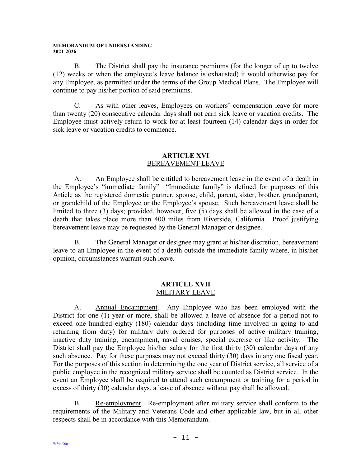B. The District shall pay the insurance premiums (for the longer of up to twelve (12) weeks or when the employee's leave balance is exhausted) it would otherwise pay for any Employee, as permitted under the terms of the Group Medical Plans. The Employee will continue to pay his/her portion of said premiums.

C. As with other leaves, Employees on workers' compensation leave for more than twenty (20) consecutive calendar days shall not earn sick leave or vacation credits. The Employee must actively return to work for at least fourteen (14) calendar days in order for sick leave or vacation credits to commence.

## **ARTICLE XVI** BEREAVEMENT LEAVE

<span id="page-11-0"></span>A. An Employee shall be entitled to bereavement leave in the event of a death in the Employee's "immediate family" "Immediate family" is defined for purposes of this Article as the registered domestic partner, spouse, child, parent**,** sister, brother, grandparent, or grandchild of the Employee or the Employee's spouse. Such bereavement leave shall be limited to three (3) days; provided, however, five (5) days shall be allowed in the case of a death that takes place more than 400 miles from Riverside, California. Proof justifying bereavement leave may be requested by the General Manager or designee.

B. The General Manager or designee may grant at his/her discretion, bereavement leave to an Employee in the event of a death outside the immediate family where, in his/her opinion, circumstances warrant such leave.

## **ARTICLE XVII** MILITARY LEAVE

<span id="page-11-1"></span>A. Annual Encampment. Any Employee who has been employed with the District for one (1) year or more, shall be allowed a leave of absence for a period not to exceed one hundred eighty (180) calendar days (including time involved in going to and returning from duty) for military duty ordered for purposes of active military training, inactive duty training, encampment, naval cruises, special exercise or like activity. The District shall pay the Employee his/her salary for the first thirty (30) calendar days of any such absence. Pay for these purposes may not exceed thirty (30) days in any one fiscal year. For the purposes of this section in determining the one year of District service, all service of a public employee in the recognized military service shall be counted as District service. In the event an Employee shall be required to attend such encampment or training for a period in excess of thirty (30) calendar days, a leave of absence without pay shall be allowed.

B. Re-employment. Re-employment after military service shall conform to the requirements of the Military and Veterans Code and other applicable law, but in all other respects shall be in accordance with this Memorandum.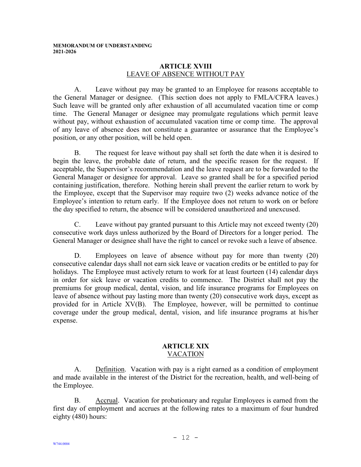#### **ARTICLE XVIII** LEAVE OF ABSENCE WITHOUT PAY

<span id="page-12-0"></span>A. Leave without pay may be granted to an Employee for reasons acceptable to the General Manager or designee. (This section does not apply to FMLA/CFRA leaves.) Such leave will be granted only after exhaustion of all accumulated vacation time or comp time. The General Manager or designee may promulgate regulations which permit leave without pay, without exhaustion of accumulated vacation time or comp time. The approval of any leave of absence does not constitute a guarantee or assurance that the Employee's position, or any other position, will be held open.

B. The request for leave without pay shall set forth the date when it is desired to begin the leave, the probable date of return, and the specific reason for the request. If acceptable, the Supervisor's recommendation and the leave request are to be forwarded to the General Manager or designee for approval. Leave so granted shall be for a specified period containing justification, therefore. Nothing herein shall prevent the earlier return to work by the Employee, except that the Supervisor may require two (2) weeks advance notice of the Employee's intention to return early. If the Employee does not return to work on or before the day specified to return, the absence will be considered unauthorized and unexcused.

C. Leave without pay granted pursuant to this Article may not exceed twenty (20) consecutive work days unless authorized by the Board of Directors for a longer period. The General Manager or designee shall have the right to cancel or revoke such a leave of absence.

D. Employees on leave of absence without pay for more than twenty (20) consecutive calendar days shall not earn sick leave or vacation credits or be entitled to pay for holidays. The Employee must actively return to work for at least fourteen (14) calendar days in order for sick leave or vacation credits to commence. The District shall not pay the premiums for group medical, dental, vision, and life insurance programs for Employees on leave of absence without pay lasting more than twenty (20) consecutive work days, except as provided for in Article XV(B). The Employee, however, will be permitted to continue coverage under the group medical, dental, vision, and life insurance programs at his/her expense.

#### **ARTICLE XIX** VACATION

<span id="page-12-1"></span>A. Definition. Vacation with pay is a right earned as a condition of employment and made available in the interest of the District for the recreation, health, and well-being of the Employee.

B. Accrual. Vacation for probationary and regular Employees is earned from the first day of employment and accrues at the following rates to a maximum of four hundred eighty (480) hours: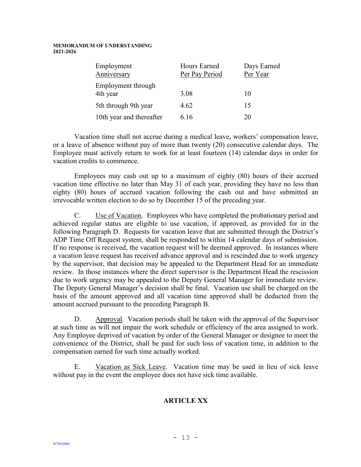| Employment<br>Anniversary      | Hours Earned<br>Per Pay Period | Days Earned<br>Per Year |
|--------------------------------|--------------------------------|-------------------------|
| Employment through<br>4th year | 3.08                           | 10                      |
| 5th through 9th year           | 4.62                           | 15                      |
| 10th year and thereafter       | 6.16                           | 20                      |

Vacation time shall not accrue during a medical leave, workers' compensation leave, or a leave of absence without pay of more than twenty (20) consecutive calendar days. The Employee must actively return to work for at least fourteen (14) calendar days in order for vacation credits to commence.

Employees may cash out up to a maximum of eighty (80) hours of their accrued vacation time effective no later than May 31 of each year, providing they have no less than eighty (80) hours of accrued vacation following the cash out and have submitted an irrevocable written election to do so by December 15 of the preceding year.

C. Use of Vacation. Employees who have completed the probationary period and achieved regular status are eligible to use vacation, if approved, as provided for in the following Paragraph D. Requests for vacation leave that are submitted through the District's ADP Time Off Request system, shall be responded to within 14 calendar days of submission. If no response is received, the vacation request will be deemed approved. In instances where a vacation leave request has received advance approval and is rescinded due to work urgency by the supervisor, that decision may be appealed to the Department Head for an immediate review. In those instances where the direct supervisor is the Department Head the rescission due to work urgency may be appealed to the Deputy General Manager for immediate review. The Deputy General Manager's decision shall be final. Vacation use shall be charged on the basis of the amount approved and all vacation time approved shall be deducted from the amount accrued pursuant to the preceding Paragraph B.

D. Approval. Vacation periods shall be taken with the approval of the Supervisor at such time as will not impair the work schedule or efficiency of the area assigned to work. Any Employee deprived of vacation by order of the General Manager or designee to meet the convenience of the District, shall be paid for such loss of vacation time, in addition to the compensation earned for such time actually worked.

E. Vacation as Sick Leave. Vacation time may be used in lieu of sick leave without pay in the event the employee does not have sick time available.

## **ARTICLE XX**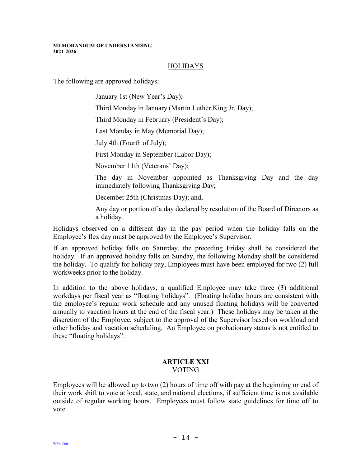## HOLIDAYS

<span id="page-14-0"></span>The following are approved holidays:

January 1st (New Year's Day);

Third Monday in January (Martin Luther King Jr. Day);

Third Monday in February (President's Day);

Last Monday in May (Memorial Day);

July 4th (Fourth of July);

First Monday in September (Labor Day);

November 11th (Veterans' Day);

The day in November appointed as Thanksgiving Day and the day immediately following Thanksgiving Day;

December 25th (Christmas Day); and,

Any day or portion of a day declared by resolution of the Board of Directors as a holiday.

Holidays observed on a different day in the pay period when the holiday falls on the Employee's flex day must be approved by the Employee's Supervisor.

If an approved holiday falls on Saturday, the preceding Friday shall be considered the holiday. If an approved holiday falls on Sunday, the following Monday shall be considered the holiday. To qualify for holiday pay, Employees must have been employed for two (2) full workweeks prior to the holiday.

In addition to the above holidays, a qualified Employee may take three (3) additional workdays per fiscal year as "floating holidays". (Floating holiday hours are consistent with the employee's regular work schedule and any unused floating holidays will be converted annually to vacation hours at the end of the fiscal year.) These holidays may be taken at the discretion of the Employee, subject to the approval of the Supervisor based on workload and other holiday and vacation scheduling. An Employee on probationary status is not entitled to these "floating holidays".

#### **ARTICLE XXI** VOTING

<span id="page-14-1"></span>Employees will be allowed up to two (2) hours of time off with pay at the beginning or end of their work shift to vote at local, state, and national elections, if sufficient time is not available outside of regular working hours. Employees must follow state guidelines for time off to vote.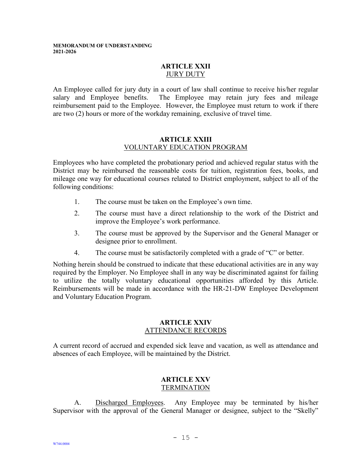## **ARTICLE XXII JURY DUTY**

<span id="page-15-0"></span>An Employee called for jury duty in a court of law shall continue to receive his/her regular salary and Employee benefits. The Employee may retain jury fees and mileage reimbursement paid to the Employee. However, the Employee must return to work if there are two (2) hours or more of the workday remaining, exclusive of travel time.

#### **ARTICLE XXIII** VOLUNTARY EDUCATION PROGRAM

<span id="page-15-1"></span>Employees who have completed the probationary period and achieved regular status with the District may be reimbursed the reasonable costs for tuition, registration fees, books, and mileage one way for educational courses related to District employment, subject to all of the following conditions:

- 1. The course must be taken on the Employee's own time.
- 2. The course must have a direct relationship to the work of the District and improve the Employee's work performance.
- 3. The course must be approved by the Supervisor and the General Manager or designee prior to enrollment.
- 4. The course must be satisfactorily completed with a grade of "C" or better.

Nothing herein should be construed to indicate that these educational activities are in any way required by the Employer. No Employee shall in any way be discriminated against for failing to utilize the totally voluntary educational opportunities afforded by this Article. Reimbursements will be made in accordance with the HR-21-DW Employee Development and Voluntary Education Program.

#### **ARTICLE XXIV** ATTENDANCE RECORDS

<span id="page-15-2"></span>A current record of accrued and expended sick leave and vacation, as well as attendance and absences of each Employee, will be maintained by the District.

#### **ARTICLE XXV TERMINATION**

<span id="page-15-3"></span>A. Discharged Employees. Any Employee may be terminated by his/her Supervisor with the approval of the General Manager or designee, subject to the "Skelly"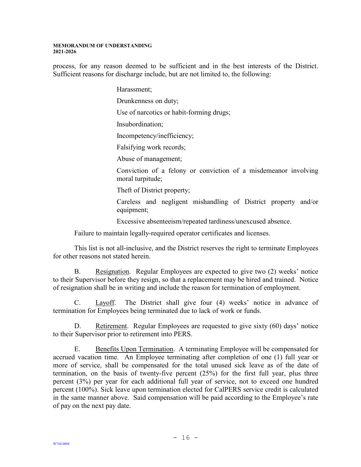process, for any reason deemed to be sufficient and in the best interests of the District. Sufficient reasons for discharge include, but are not limited to, the following:

Harassment;

Drunkenness on duty;

Use of narcotics or habit-forming drugs;

Insubordination;

Incompetency/inefficiency;

Falsifying work records;

Abuse of management;

Conviction of a felony or conviction of a misdemeanor involving moral turpitude;

Theft of District property;

Careless and negligent mishandling of District property and/or equipment;

Excessive absenteeism/repeated tardiness/unexcused absence.

Failure to maintain legally-required operator certificates and licenses.

This list is not all-inclusive, and the District reserves the right to terminate Employees for other reasons not stated herein.

B. Resignation. Regular Employees are expected to give two (2) weeks' notice to their Supervisor before they resign, so that a replacement may be hired and trained. Notice of resignation shall be in writing and include the reason for termination of employment.

C. Layoff. The District shall give four (4) weeks' notice in advance of termination for Employees being terminated due to lack of work or funds.

D. Retirement. Regular Employees are requested to give sixty (60) days' notice to their Supervisor prior to retirement into PERS.

E. Benefits Upon Termination. A terminating Employee will be compensated for accrued vacation time. An Employee terminating after completion of one (1) full year or more of service, shall be compensated for the total unused sick leave as of the date of termination, on the basis of twenty-five percent (25%) for the first full year, plus three percent (3%) per year for each additional full year of service, not to exceed one hundred percent (100%). Sick leave upon termination elected for CalPERS service credit is calculated in the same manner above. Said compensation will be paid according to the Employee's rate of pay on the next pay date.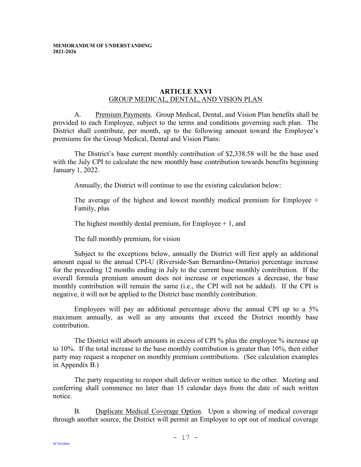#### **ARTICLE XXVI** GROUP MEDICAL, DENTAL, AND VISION PLAN

<span id="page-17-0"></span>A. Premium Payments. Group Medical, Dental, and Vision Plan benefits shall be provided to each Employee, subject to the terms and conditions governing such plan. The District shall contribute, per month, up to the following amount toward the Employee's premiums for the Group Medical, Dental and Vision Plans:

The District's base current monthly contribution of \$2,338.58 will be the base used with the July CPI to calculate the new monthly base contribution towards benefits beginning January 1, 2022.

Annually, the District will continue to use the existing calculation below:

The average of the highest and lowest monthly medical premium for Employee  $+$ Family, plus

The highest monthly dental premium, for Employee  $+1$ , and

The full monthly premium, for vision

Subject to the exceptions below, annually the District will first apply an additional amount equal to the annual CPI-U (Riverside-San Bernardino-Ontario) percentage increase for the preceding 12 months ending in July to the current base monthly contribution. If the overall formula premium amount does not increase or experiences a decrease, the base monthly contribution will remain the same (i.e., the CPI will not be added). If the CPI is negative, it will not be applied to the District base monthly contribution.

Employees will pay an additional percentage above the annual CPI up to a 5% maximum annually, as well as any amounts that exceed the District monthly base contribution.

The District will absorb amounts in excess of CPI % plus the employee % increase up to 10%. If the total increase to the base monthly contribution is greater than 10%, then either party may request a reopener on monthly premium contributions. (See calculation examples in Appendix B.)

The party requesting to reopen shall deliver written notice to the other. Meeting and conferring shall commence no later than 15 calendar days from the date of such written notice.

B. Duplicate Medical Coverage Option. Upon a showing of medical coverage through another source, the District will permit an Employee to opt out of medical coverage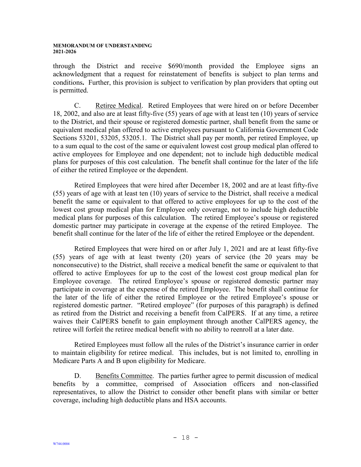through the District and receive \$690/month provided the Employee signs an acknowledgment that a request for reinstatement of benefits is subject to plan terms and conditions**.** Further, this provision is subject to verification by plan providers that opting out is permitted.

C. Retiree Medical. Retired Employees that were hired on or before December 18, 2002, and also are at least fifty-five (55) years of age with at least ten (10) years of service to the District, and their spouse or registered domestic partner, shall benefit from the same or equivalent medical plan offered to active employees pursuant to California Government Code Sections 53201, 53205, 53205.1. The District shall pay per month, per retired Employee, up to a sum equal to the cost of the same or equivalent lowest cost group medical plan offered to active employees for Employee and one dependent; not to include high deductible medical plans for purposes of this cost calculation. The benefit shall continue for the later of the life of either the retired Employee or the dependent.

Retired Employees that were hired after December 18, 2002 and are at least fifty-five (55) years of age with at least ten (10) years of service to the District, shall receive a medical benefit the same or equivalent to that offered to active employees for up to the cost of the lowest cost group medical plan for Employee only coverage, not to include high deductible medical plans for purposes of this calculation. The retired Employee's spouse or registered domestic partner may participate in coverage at the expense of the retired Employee. The benefit shall continue for the later of the life of either the retired Employee or the dependent.

Retired Employees that were hired on or after July 1, 2021 and are at least fifty-five (55) years of age with at least twenty (20) years of service (the 20 years may be nonconsecutive) to the District, shall receive a medical benefit the same or equivalent to that offered to active Employees for up to the cost of the lowest cost group medical plan for Employee coverage. The retired Employee's spouse or registered domestic partner may participate in coverage at the expense of the retired Employee. The benefit shall continue for the later of the life of either the retired Employee or the retired Employee's spouse or registered domestic partner. "Retired employee" (for purposes of this paragraph) is defined as retired from the District and receiving a benefit from CalPERS. If at any time, a retiree waives their CalPERS benefit to gain employment through another CalPERS agency, the retiree will forfeit the retiree medical benefit with no ability to reenroll at a later date.

Retired Employees must follow all the rules of the District's insurance carrier in order to maintain eligibility for retiree medical. This includes, but is not limited to, enrolling in Medicare Parts A and B upon eligibility for Medicare.

D. Benefits Committee. The parties further agree to permit discussion of medical benefits by a committee, comprised of Association officers and non-classified representatives, to allow the District to consider other benefit plans with similar or better coverage, including high deductible plans and HSA accounts.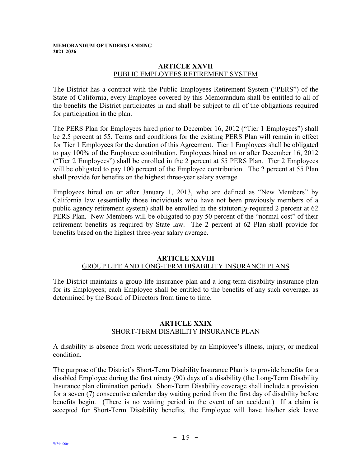### **ARTICLE XXVII** PUBLIC EMPLOYEES RETIREMENT SYSTEM

<span id="page-19-0"></span>The District has a contract with the Public Employees Retirement System ("PERS") of the State of California, every Employee covered by this Memorandum shall be entitled to all of the benefits the District participates in and shall be subject to all of the obligations required for participation in the plan.

The PERS Plan for Employees hired prior to December 16, 2012 ("Tier 1 Employees") shall be 2.5 percent at 55. Terms and conditions for the existing PERS Plan will remain in effect for Tier 1 Employees for the duration of this Agreement. Tier 1 Employees shall be obligated to pay 100% of the Employee contribution. Employees hired on or after December 16, 2012 ("Tier 2 Employees") shall be enrolled in the 2 percent at 55 PERS Plan. Tier 2 Employees will be obligated to pay 100 percent of the Employee contribution. The 2 percent at 55 Plan shall provide for benefits on the highest three-year salary average

Employees hired on or after January 1, 2013, who are defined as "New Members" by California law (essentially those individuals who have not been previously members of a public agency retirement system) shall be enrolled in the statutorily-required 2 percent at 62 PERS Plan. New Members will be obligated to pay 50 percent of the "normal cost" of their retirement benefits as required by State law. The 2 percent at 62 Plan shall provide for benefits based on the highest three-year salary average.

## **ARTICLE XXVIII** GROUP LIFE AND LONG-TERM DISABILITY INSURANCE PLANS

<span id="page-19-1"></span>The District maintains a group life insurance plan and a long-term disability insurance plan for its Employees; each Employee shall be entitled to the benefits of any such coverage, as determined by the Board of Directors from time to time.

## **ARTICLE XXIX** SHORT-TERM DISABILITY INSURANCE PLAN

<span id="page-19-2"></span>A disability is absence from work necessitated by an Employee's illness, injury, or medical condition.

The purpose of the District's Short-Term Disability Insurance Plan is to provide benefits for a disabled Employee during the first ninety (90) days of a disability (the Long-Term Disability Insurance plan elimination period). Short-Term Disability coverage shall include a provision for a seven (7) consecutive calendar day waiting period from the first day of disability before benefits begin. (There is no waiting period in the event of an accident.) If a claim is accepted for Short-Term Disability benefits, the Employee will have his/her sick leave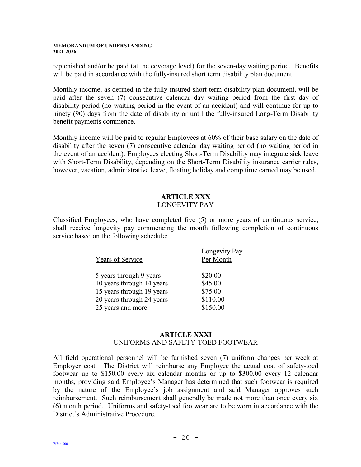replenished and/or be paid (at the coverage level) for the seven-day waiting period. Benefits will be paid in accordance with the fully-insured short term disability plan document.

Monthly income, as defined in the fully-insured short term disability plan document, will be paid after the seven (7) consecutive calendar day waiting period from the first day of disability period (no waiting period in the event of an accident) and will continue for up to ninety (90) days from the date of disability or until the fully-insured Long-Term Disability benefit payments commence.

Monthly income will be paid to regular Employees at 60% of their base salary on the date of disability after the seven (7) consecutive calendar day waiting period (no waiting period in the event of an accident). Employees electing Short-Term Disability may integrate sick leave with Short-Term Disability, depending on the Short-Term Disability insurance carrier rules, however, vacation, administrative leave, floating holiday and comp time earned may be used.

## **ARTICLE XXX** LONGEVITY PAY

<span id="page-20-0"></span>Classified Employees, who have completed five (5) or more years of continuous service, shall receive longevity pay commencing the month following completion of continuous service based on the following schedule:

| Years of Service          | Longevity Pay<br>Per Month |
|---------------------------|----------------------------|
| 5 years through 9 years   | \$20.00                    |
| 10 years through 14 years | \$45.00                    |
| 15 years through 19 years | \$75.00                    |
| 20 years through 24 years | \$110.00                   |
| 25 years and more         | \$150.00                   |
|                           |                            |

## **ARTICLE XXXI** UNIFORMS AND SAFETY-TOED FOOTWEAR

<span id="page-20-1"></span>All field operational personnel will be furnished seven (7) uniform changes per week at Employer cost. The District will reimburse any Employee the actual cost of safety-toed footwear up to \$150.00 every six calendar months or up to \$300.00 every 12 calendar months, providing said Employee's Manager has determined that such footwear is required by the nature of the Employee's job assignment and said Manager approves such reimbursement. Such reimbursement shall generally be made not more than once every six (6) month period. Uniforms and safety-toed footwear are to be worn in accordance with the District's Administrative Procedure.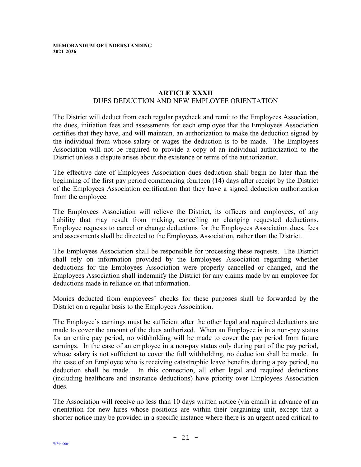#### **ARTICLE XXXII** DUES DEDUCTION AND NEW EMPLOYEE ORIENTATION

<span id="page-21-0"></span>The District will deduct from each regular paycheck and remit to the Employees Association, the dues, initiation fees and assessments for each employee that the Employees Association certifies that they have, and will maintain, an authorization to make the deduction signed by the individual from whose salary or wages the deduction is to be made. The Employees Association will not be required to provide a copy of an individual authorization to the District unless a dispute arises about the existence or terms of the authorization.

The effective date of Employees Association dues deduction shall begin no later than the beginning of the first pay period commencing fourteen (14) days after receipt by the District of the Employees Association certification that they have a signed deduction authorization from the employee.

The Employees Association will relieve the District, its officers and employees, of any liability that may result from making, cancelling or changing requested deductions. Employee requests to cancel or change deductions for the Employees Association dues, fees and assessments shall be directed to the Employees Association, rather than the District.

The Employees Association shall be responsible for processing these requests. The District shall rely on information provided by the Employees Association regarding whether deductions for the Employees Association were properly cancelled or changed, and the Employees Association shall indemnify the District for any claims made by an employee for deductions made in reliance on that information.

Monies deducted from employees' checks for these purposes shall be forwarded by the District on a regular basis to the Employees Association.

The Employee's earnings must be sufficient after the other legal and required deductions are made to cover the amount of the dues authorized. When an Employee is in a non-pay status for an entire pay period, no withholding will be made to cover the pay period from future earnings. In the case of an employee in a non-pay status only during part of the pay period, whose salary is not sufficient to cover the full withholding, no deduction shall be made. In the case of an Employee who is receiving catastrophic leave benefits during a pay period, no deduction shall be made. In this connection, all other legal and required deductions (including healthcare and insurance deductions) have priority over Employees Association dues.

The Association will receive no less than 10 days written notice (via email) in advance of an orientation for new hires whose positions are within their bargaining unit, except that a shorter notice may be provided in a specific instance where there is an urgent need critical to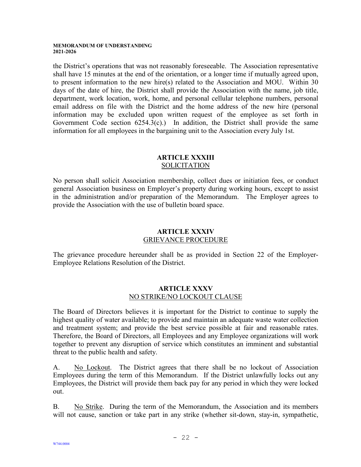the District's operations that was not reasonably foreseeable. The Association representative shall have 15 minutes at the end of the orientation, or a longer time if mutually agreed upon, to present information to the new hire(s) related to the Association and MOU. Within 30 days of the date of hire, the District shall provide the Association with the name, job title, department, work location, work, home, and personal cellular telephone numbers, personal email address on file with the District and the home address of the new hire (personal information may be excluded upon written request of the employee as set forth in Government Code section  $6254.3(c)$ .) In addition, the District shall provide the same information for all employees in the bargaining unit to the Association every July 1st.

## **ARTICLE XXXIII** SOLICITATION

<span id="page-22-0"></span>No person shall solicit Association membership, collect dues or initiation fees, or conduct general Association business on Employer's property during working hours, except to assist in the administration and/or preparation of the Memorandum. The Employer agrees to provide the Association with the use of bulletin board space.

## **ARTICLE XXXIV** GRIEVANCE PROCEDURE

<span id="page-22-1"></span>The grievance procedure hereunder shall be as provided in Section 22 of the Employer-Employee Relations Resolution of the District.

## **ARTICLE XXXV** NO STRIKE/NO LOCKOUT CLAUSE

<span id="page-22-2"></span>The Board of Directors believes it is important for the District to continue to supply the highest quality of water available; to provide and maintain an adequate waste water collection and treatment system; and provide the best service possible at fair and reasonable rates. Therefore, the Board of Directors, all Employees and any Employee organizations will work together to prevent any disruption of service which constitutes an imminent and substantial threat to the public health and safety.

A. No Lockout. The District agrees that there shall be no lockout of Association Employees during the term of this Memorandum. If the District unlawfully locks out any Employees, the District will provide them back pay for any period in which they were locked out.

B. No Strike. During the term of the Memorandum, the Association and its members will not cause, sanction or take part in any strike (whether sit-down, stay-in, sympathetic,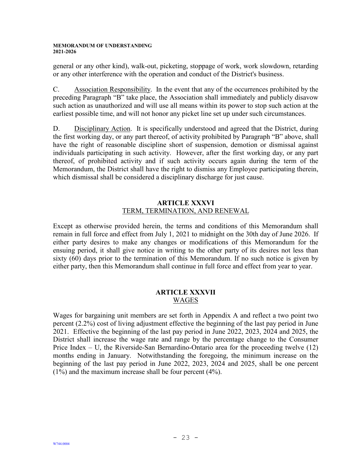general or any other kind), walk-out, picketing, stoppage of work, work slowdown, retarding or any other interference with the operation and conduct of the District's business.

C. Association Responsibility. In the event that any of the occurrences prohibited by the preceding Paragraph "B" take place, the Association shall immediately and publicly disavow such action as unauthorized and will use all means within its power to stop such action at the earliest possible time, and will not honor any picket line set up under such circumstances.

D. Disciplinary Action. It is specifically understood and agreed that the District, during the first working day, or any part thereof, of activity prohibited by Paragraph "B" above, shall have the right of reasonable discipline short of suspension, demotion or dismissal against individuals participating in such activity. However, after the first working day, or any part thereof, of prohibited activity and if such activity occurs again during the term of the Memorandum, the District shall have the right to dismiss any Employee participating therein, which dismissal shall be considered a disciplinary discharge for just cause.

## **ARTICLE XXXVI** TERM, TERMINATION, AND RENEWAL

<span id="page-23-0"></span>Except as otherwise provided herein, the terms and conditions of this Memorandum shall remain in full force and effect from July 1, 2021 to midnight on the 30th day of June 2026. If either party desires to make any changes or modifications of this Memorandum for the ensuing period, it shall give notice in writing to the other party of its desires not less than sixty (60) days prior to the termination of this Memorandum. If no such notice is given by either party, then this Memorandum shall continue in full force and effect from year to year.

## **ARTICLE XXXVII** WAGES

<span id="page-23-1"></span>Wages for bargaining unit members are set forth in Appendix A and reflect a two point two percent (2.2%) cost of living adjustment effective the beginning of the last pay period in June 2021. Effective the beginning of the last pay period in June 2022, 2023, 2024 and 2025, the District shall increase the wage rate and range by the percentage change to the Consumer Price Index – U, the Riverside-San Bernardino-Ontario area for the proceeding twelve (12) months ending in January. Notwithstanding the foregoing, the minimum increase on the beginning of the last pay period in June 2022, 2023, 2024 and 2025, shall be one percent (1%) and the maximum increase shall be four percent (4%).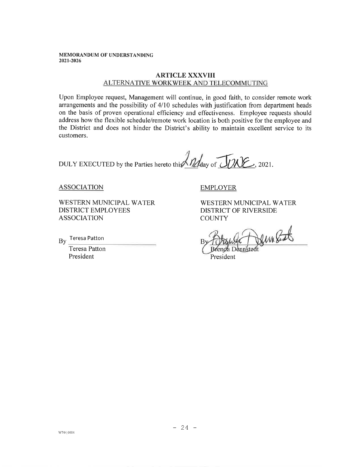#### **ARTICLE XXXVIII** ALTERNATIVE WORKWEEK AND TELECOMMUTING

Upon Employee request, Management will continue, in good faith, to consider remote work arrangements and the possibility of 4/10 schedules with justification from department heads on the basis of proven operational efficiency and effectiveness. Employee requests should address how the flexible schedule/remote work location is both positive for the employee and the District and does not hinder the District's ability to maintain excellent service to its customers.

DULY EXECUTED by the Parties hereto this Malday of JUNE, 2021.

**ASSOCIATION** 

WESTERN MUNICIPAL WATER **DISTRICT EMPLOYEES ASSOCIATION** 

By Teresa Patton

**Teresa Patton** President

**EMPLOYER** 

WESTERN MUNICIPAL WATER DISTRICT OF RIVERSIDE **COUNTY** 

DennEat

President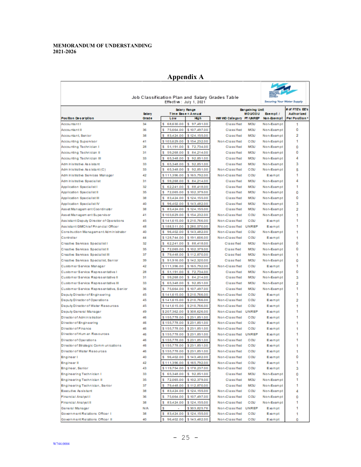$\overline{\Gamma}$ 

## **Appendix A**

|                                                       |               |                              |                                           | Job Classification Plan and Salary Grades Table |                           |                          |                                      |
|-------------------------------------------------------|---------------|------------------------------|-------------------------------------------|-------------------------------------------------|---------------------------|--------------------------|--------------------------------------|
| Effective: July 1, 2021<br>Securing Your Water Supply |               |                              |                                           |                                                 |                           |                          |                                      |
|                                                       | <b>Salary</b> |                              | <b>Salary Renge</b><br>Time Base = Annual |                                                 | Bargaining Unit<br>MOUCOU | Exempt /                 | # of FTE's EE's<br><b>Authorized</b> |
| Position Description                                  | Grade         | Low                          | Hoh                                       | WM WD Category PT/UNREP                         |                           | Non-Exempt               | Per Position:                        |
| <b>Accountant I</b>                                   | 34            | s<br>68,630.00               | \$97,491.00                               | Classified                                      | <b>MOU</b>                | Non-Exempt               | 1                                    |
| Accountant II                                         | 36            | s<br>75,664.00               | \$107,497.00                              | Classified                                      | MOU                       | Non-Exempt               | ٥                                    |
| Accountant, Senior                                    | 38            | 83.424.00<br>s               | \$124,155.00                              | Classified                                      | <b>MOU</b>                | Non-Exempt               | 2                                    |
| Accounting Supervisor                                 | 41            | \$103,629.00                 | \$154,232.00                              | Non-Classified                                  | COU                       | Non-Exempt               | 1                                    |
| Accounting Technician I                               | 28            | 51,191.00<br>s               | \$72,734.00                               | Classified                                      | MOU                       | Non-Exempt               | ٥                                    |
| Accounting Technician II                              | 31            | s<br>59,268.00               | \$84,214.00                               | <b>Classified</b>                               | <b>MOU</b>                | Non-Exempt               | ٥                                    |
| Accounting Technician III                             | 33            | 65,348.00<br>s               | \$92,851.00                               | Classified                                      | MOU                       | Non-Exempt               | 4                                    |
| Adm in is trative As sistant                          | 33            | 65,348.00<br>s               | 92.851.00<br>s                            | Classified                                      | MOU                       | Non-Exempt               | з                                    |
| Adm in is trative As sistant (C)                      | 33            | s<br>65,348.00               | \$92,851.00                               | Non-Classified                                  | cou                       | Non-Exempt               | 5                                    |
| Adm inistrative Services Manager                      | 42            | \$111,396.00                 | \$165,792.00                              | Non-Classified                                  | COU                       | Exempt                   | 1                                    |
| Adm in is trative Specialist                          | 31            | 59,268.00<br>s               | \$84,214.00                               | <b>Classified</b>                               | MOU                       | Non-Exempt               | Δ                                    |
| Application Specialist I                              | 32            | 62.241.00<br>s               | \$88,418,00                               | Classified                                      | <b>MOU</b>                | Non-Exempt               | 1                                    |
| Application Specialist II                             | 35            | 72.065.00<br>s               | \$102,379.00                              | <b>Classified</b>                               | <b>MOU</b>                | Non-Exempt               | ٥                                    |
| <b>Application Specialist III</b>                     | 38            | s<br>83,424.00               | \$124,155.00                              | Classified                                      | <b>MOU</b>                | Non-Exempt               | ٥                                    |
| Application Specialist IV                             | 40            | 96,402.00<br>s               | \$143,482.00                              | Classified                                      | <b>MOU</b>                | Non-Exempt               | з                                    |
| Asset Management Coordinabr                           | 38            | 83,424.00<br>s               | \$124,155.00                              | <b>Classified</b>                               | <b>MOU</b>                | Non-Exempt               | 2                                    |
| Asset Management Supervisor                           | 41            | \$103,629.00                 | \$154,232.00                              | Non-Classified                                  | COU                       | Non-Exempt               | 1                                    |
| Assistant Deputy Director of Operations               | 45            | \$141,615.00                 | \$210,766.00                              | Non-Classified                                  | cou                       | Exempt                   | 1                                    |
| Assistant GMChief Financial Officer                   | 48            | \$188,511.00                 | \$280.570.00                              | Non-Classified UNREP                            |                           | Exempt                   | 1                                    |
| Construction Management Administrator                 | 40            | s<br>96,402.00               | \$143,482.00                              | Non-Classified                                  | cou                       | Non-Exempt               | 1                                    |
| Controller                                            | 44            | \$128,744.00                 | \$191,606.00                              | Non-Classified                                  | COU                       | Exempt                   | 1                                    |
| Creative Services Specialist I                        | 32            | 62.241.00<br>s               | \$88,418.00                               | <b>Classified</b>                               | <b>MOU</b>                | Non-Exempt               | ٥                                    |
| Creative Services Specialist II                       | 35            | 72,065.00<br>s               | \$102,379.00                              | Classified                                      | MOU                       | Non-Exempt               | ٥                                    |
| Creative Services Specialist III                      | 37            | s<br>79,448.00               | \$112,870.00                              | Classified                                      | MOU                       | Non-Exempt               | 1                                    |
| Creative Services Specialist, Senior                  | 39            | 91,916.00<br>s               | \$142,320.00                              | Classified                                      | <b>MOU</b>                | Non-Exempt               | ٥                                    |
| Customer Service Manager                              | 42            | \$111,396.00                 | \$165,792.00                              | Non-Classified                                  | COU                       | Exempt                   | 1                                    |
| Customer Service Representative I                     | 28            | 51,191.00<br>s               | 72,734.00<br>s                            | Classified                                      | <b>MOU</b>                | Non-Exempt               | ٥                                    |
| Customer Service Representative II                    | 31            | 59,268.00<br>s               | \$84,214.00                               | Classified                                      | MOU                       | Non-Exempt               | з                                    |
| Customer Service Representative III                   | 33            | 65,348.00<br>s               | \$92,851.00                               | Classified                                      | MOU                       | Non-Exempt               | 2                                    |
| Customer Service Representative, Senior               | 36            | s<br>75,664.00               | \$107,497.00                              | <b>Classified</b>                               | MOU                       | Non-Exempt               | 1                                    |
| Deputy Director of Engineering                        | 45            | \$141,615.00                 | \$210,766.00                              | Non-Classified                                  | COU                       | Exempt                   | 1                                    |
| Deputy Director of Operations                         | 45            | \$141,615,00                 | \$210,766.00                              | Non-Classified                                  | COU                       | Exempt                   | 2                                    |
| Deputy Director of Water Resources                    | 45            | \$141,615.00                 | \$210,766.00                              | Non-Classified                                  | cou                       | Exempt                   | 1                                    |
| Deputy General Manager                                | 49            | \$207,362.00                 | \$308,626,00                              | Non-Classified UNREP                            |                           | Exempt                   | 1                                    |
| Director of Administration                            | 46            | \$155,778.00                 | \$231,851.00                              | Non-Classified                                  | cou                       | Exempt                   | 1                                    |
| Director of Engineering                               | 46            | \$155,778.00                 | \$231,851.00                              | Non-Classified                                  | COU                       | Exempt                   | 1                                    |
| Director of Finance                                   | 46            | \$155,778.00                 | \$231,851.00                              | Non-Classified                                  | COU                       | Exempt                   | 1                                    |
| Director of Hum an Resources                          | 46            | \$155,778.00                 | \$231,851.00                              | Non-Classified UNREP                            |                           | Exempt                   | 1                                    |
| Director of Operations                                | 46            | \$155,778.00                 | \$231,851.00                              | Non-Classified                                  | COU                       | Exempt                   | 1                                    |
| Director of Strategic Communications                  | 46            |                              | \$155,778.00 \$231,851.00<br>\$231,851.00 | Non-Classified                                  | cou                       | Exempt                   |                                      |
| Director of Water Resources                           | 46            | \$155,778.00                 |                                           | Non-Classified                                  | cou                       | Exempt                   | 1                                    |
| Engineer I                                            | 40            | \$96,402.00                  | \$143,482.00                              | Non-Classified                                  | cou                       | Exempt                   | ٥                                    |
| <b>Engineer II</b><br>Engineer, Senior                | 42<br>43      | \$111,396.00<br>\$119,754.00 | \$165,792.00<br>\$178,237.00              | Non-Classified<br>Non-Classified                | cou<br>cou                | Exempt<br>Exempt         | 1                                    |
| Engineering Technician I                              | 33            | \$65,348.00                  | \$92,851.00                               | Classified                                      | MOU                       | Non-Exempt               | з<br>٥                               |
| <b>Engineering Technician II</b>                      | 35            | \$72,065.00                  | \$102,379.00                              | Classified                                      | MOU                       | Non-Exempt               | 1                                    |
| Engineering Technician, Senior                        | 37            | 79,448.00<br>s               | \$112,870.00                              | Classified                                      | MOU                       |                          | 1                                    |
| Executive As sistant                                  | 38            | 83,424.00<br>s               | \$124,155.00                              | Non-Classified                                  | cou                       | Non-Exempt<br>Non-Exempt | 4                                    |
| Financial Analyst I                                   | 36            | \$75,664.00                  | \$107,497.00                              | Non-Classified                                  | cou                       | Non-Exempt               | ٥                                    |
| Financial Analyst II                                  | 38            | 83,424.00<br>s               | \$124,155.00                              | Non-Classified                                  | cou                       | Non-Exempt               | 1                                    |
| General Manager                                       | N/A           | s<br>$\sim$                  | \$303,825.76                              | Non-Classified UNREP                            |                           | Exempt                   | 1                                    |
| Government Relations Officer 1                        | 38            | 83,424.00<br>s               | \$124,155.00                              | Non-Classified                                  | cou                       | Exempt                   | 1                                    |
| Government Relations Officer II                       | 40            | 96,402.00<br>s.              | \$143,482.00                              | Non-Classified                                  | COU                       | Exempt                   | ٥                                    |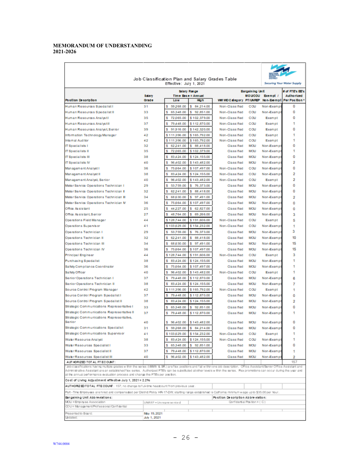|                                                                                                                                                                                  |                                               |                                |                                 | Job Classification Plan and Salary Grades Table |                             |                      |                               |  |
|----------------------------------------------------------------------------------------------------------------------------------------------------------------------------------|-----------------------------------------------|--------------------------------|---------------------------------|-------------------------------------------------|-----------------------------|----------------------|-------------------------------|--|
|                                                                                                                                                                                  | Securing Your Water Supply                    |                                |                                 |                                                 |                             |                      |                               |  |
|                                                                                                                                                                                  | <b>Bargaining Unit</b><br><b>Salary Range</b> |                                |                                 |                                                 |                             |                      |                               |  |
|                                                                                                                                                                                  | <b>Salary</b>                                 |                                | Time Bace = Annual              |                                                 | <b>MOUCOU</b>               | Exempt /             | # of FTE's EE's<br>Authorized |  |
| Position Desoription                                                                                                                                                             | Grade                                         | Low                            | Hah                             | WM WD Category PT/UNREP                         |                             |                      | Non-Exempt Per Position       |  |
| Human Resources Specialist I                                                                                                                                                     | 31                                            | 59.268.00<br>s                 | 84.214.00<br>s                  | Non-Classified                                  | cou                         | Non-Exempt           | ٥                             |  |
| Human Resources Specialist II                                                                                                                                                    | 33                                            | 65.348.00<br>s                 | 92.851.00<br>s                  | Non-Classified                                  | COU                         | Non-Exempt           | ٥                             |  |
| Human Resources Analysti                                                                                                                                                         | 35                                            | s<br>72.065.00                 | \$102,379.00                    | Non-Classified                                  | COU                         | Exempt               | ٥                             |  |
| Human Resources Analystill                                                                                                                                                       | 37                                            | \$<br>79,448.00                | \$112,870.00                    | Non-Classified                                  | COU                         | Exempt               | 1                             |  |
| Human Resources Analyst.Senior                                                                                                                                                   | 39                                            | 91.916.00<br>s                 | \$142,320.00                    | Non-Classified                                  | COU                         | Exempt               | ٥                             |  |
| Information Technology Manager                                                                                                                                                   | 42                                            | \$111,396.00                   | \$165,792.00                    | Non-Classified                                  | COU                         | Exempt               | 1                             |  |
| Internal Auditor<br><b>IT Specialists I</b>                                                                                                                                      | 42<br>32                                      | \$111,396.00<br>s<br>62,241.00 | \$165,792.00<br>s.<br>88,418.00 | Non-Classified<br>Class ified                   | COU<br><b>MOU</b>           | Exempt<br>Non-Exempt | 1<br>٥                        |  |
| <b>IT Specialists II</b>                                                                                                                                                         | 35                                            | 72,065.00<br>\$                | \$102,379.00                    | Class ified                                     | <b>MOU</b>                  | Non-Exempt           | 1                             |  |
| <b>IT Soccialists III</b>                                                                                                                                                        | 38                                            | s<br>83 4 24 .00               | \$124,155.00                    | Classified                                      | <b>MOU</b>                  | Non-Exempt           | ٥                             |  |
| <b>IT Specialists IV</b>                                                                                                                                                         | 40                                            | \$<br>96 4 02 .00              | \$143,482.00                    | Class ified                                     | <b>MOU</b>                  | Non-Exempt           | 2                             |  |
| Management Analyst I                                                                                                                                                             | 36                                            | 75.664.00<br>s                 | \$107,497.00                    | Non-Classified                                  | COU                         | Non-Exempt           | ٥                             |  |
| Management Analyst II                                                                                                                                                            | 38                                            | 83 4 24 .00<br>s               | \$124,155.00                    | Non-Classified                                  | COU                         | Non-Exempt           | 2                             |  |
| Management Analyst, Senior                                                                                                                                                       | 40                                            | 96 4 02 .00<br>s               | \$143,482.00                    | Non-Classified                                  | COU                         | Exempt               | 2                             |  |
| Meter Service Operations Technician I                                                                                                                                            | 29                                            | \$<br>53,759.00                | s<br>76,373.00                  | Class ified                                     | <b>MOU</b>                  | Non-Exempt           | ٥                             |  |
| Meter Service Operations Technician II                                                                                                                                           | 32                                            | 62.241.00<br>\$                | s<br>88,418.00                  | Class ified                                     | <b>MOU</b>                  | Non-Exempt           | ٥                             |  |
| Meter Service Operations Technician III                                                                                                                                          | 34                                            | 68.630.00<br>s                 | 97,491.00<br>s                  | Class ified                                     | <b>MOU</b>                  | Non-Exempt           | 2                             |  |
| Meter Service Operations Technician M                                                                                                                                            | 36                                            | s<br>75, 664, 00               | \$107,497.00                    | Classified                                      | <b>MOU</b>                  | Non-Exempt           | ٥                             |  |
| Office As sistant                                                                                                                                                                | 25                                            | \$<br>44.227.00                | s<br>62,827.00                  | Class ified                                     | <b>MOU</b>                  | Non-Exempt           | ٥                             |  |
| Office As sistant, Senior                                                                                                                                                        | 27                                            | 48.764.00<br>s                 | 69.266.00<br>s                  | Classified                                      | <b>MOU</b>                  | Non-Exempt           | 3                             |  |
| Operations Field Manager                                                                                                                                                         | 44                                            | \$128,744.00                   | \$191,606.00                    | Non-Classified                                  | COU                         | Exempt               | 5                             |  |
| Operations Supervisor                                                                                                                                                            | 41                                            | \$103,629.00                   | \$154,232.00                    | Non-Classified                                  | COU                         | Non-Exempt           | 1                             |  |
| Operations Technician I                                                                                                                                                          | 29                                            | 53.759.00<br>s                 | 76.373.00<br>s                  | Class ified                                     | <b>MOU</b>                  | Non-Exempt           | з                             |  |
| Operations Technician II                                                                                                                                                         | 32                                            | 62,241.00<br>s                 | s<br>88,418.00                  | Class ified                                     | <b>MOU</b>                  | Non-Exempt           | 10 <sup>10</sup>              |  |
| Operations Technician III                                                                                                                                                        | 34                                            | 68.630.00<br>s                 | 97,491.00<br>s                  | Class ified                                     | <b>MOU</b>                  | Non-Exempt           | 15                            |  |
| Operations Technician IV                                                                                                                                                         | 36                                            | s<br>75, 564.00                | \$107,497.00                    | Classified                                      | <b>MOU</b>                  | Non-Exempt           | 15                            |  |
| Principal Engineer                                                                                                                                                               | 44                                            | \$128,744.00                   | \$191,606.00                    | Non-Classified                                  | COU                         | Exempt               | з                             |  |
| Purchasing Specialist                                                                                                                                                            | 38                                            | 83 4 24 .00<br>s               | \$124,155.00                    | Class ified                                     | MOU                         | Non-Exempt           | 1                             |  |
| Safety Compliance Coordinator                                                                                                                                                    | 36                                            | s<br>75, 664.00                | \$107,497.00                    | Class ified                                     | <b>MOU</b>                  | Non-Exempt           | 1                             |  |
| Safety Officer                                                                                                                                                                   | 40                                            | \$<br>96 4 02 .00              | \$143,482.00                    | Non-Classified                                  | cou                         | Exempt               | 1                             |  |
| Senior Operations Technician I                                                                                                                                                   | 37                                            | 79,448.00<br>s                 | \$112,870.00                    | Class ified                                     | <b>MOU</b>                  | Non-Exempt           | 6                             |  |
| Senior Operations Technician II                                                                                                                                                  | 38                                            | s<br>83 A 24 .00               | \$124,155.00                    | Classified                                      | MOU                         | Non-Exempt           | 7                             |  |
| Source Control Program Manager                                                                                                                                                   | 42                                            | \$111,396.00                   | \$165,792.00                    | Non-Classified                                  | COU                         | Exempt               | 1                             |  |
| Source Control Program Specialist I                                                                                                                                              | 37                                            | s<br>79,448.00                 | \$112,870.00                    | Classified                                      | <b>MOU</b>                  | Non-Exempt           | ٥                             |  |
| Source Control Program Specialist II                                                                                                                                             | 38                                            | 83 4 24 .00<br>s               | \$124,155.00                    | Class ified                                     | <b>MOU</b>                  | Non-Exempt           | 2                             |  |
| Strategic Communications Representative I                                                                                                                                        | 33                                            | 65.348.00<br>s                 | 92.851.00<br>s                  | Class ified                                     | <b>MOU</b>                  | Non-Exempt           | ٥                             |  |
| Strategic Communications Representative II                                                                                                                                       | 37                                            | s<br>79,448.00                 | \$112,870.00                    | Class ified                                     | <b>MOU</b>                  | Non-Exempt           | 1                             |  |
| Strategic Communications Representative,                                                                                                                                         |                                               |                                |                                 |                                                 |                             |                      |                               |  |
| Senior                                                                                                                                                                           | 40                                            | s.<br>96 4 02 .00              | \$143,482.00                    | Class ified                                     | <b>MOU</b>                  | Non-Exempt           | ٥                             |  |
| Strategic Communications Specialist                                                                                                                                              | 31                                            |                                | \$59,268.00 \$84,214.00         | Class ified                                     | MOU                         | Non-Exempt           | ٥                             |  |
| Strategic Communications Supervisor                                                                                                                                              | 41                                            |                                | \$103,629.00 \$154,232.00       | Non-Classified                                  | cou                         | Exempt               | 1                             |  |
| Water Resource Analyst                                                                                                                                                           | 38                                            | 83,424.00<br>s                 | \$124,155.00                    | Non-Classified                                  | cou                         | Non-Exempt           | 1                             |  |
| WabrResources Specialist I                                                                                                                                                       | 33                                            | \$ 65,348.00                   | \$92,851.00                     | Classified                                      | MOU                         | Non-Exempt           | ٥                             |  |
| Water Resources Specialist II                                                                                                                                                    | 37<br>40                                      | 79,448.00<br>s                 | \$112,870.00<br>\$143,482.00    | Class ified                                     | MOU<br><b>MOU</b>           | Non-Exempt           | 1                             |  |
| Water Resources Specialist III<br>AUT HORIZED TOT AL FT ECOUNT:                                                                                                                  |                                               | 96,402.00<br>s                 |                                 | Class ified                                     |                             | Non-Exempt           | 2<br>157                      |  |
| "Job classifications having multple grades within the series (IWIIIV & SR.) are flex positions and fall within one job description. Office Assistant/Senior Office Assistant and |                                               |                                |                                 |                                                 |                             |                      |                               |  |
| Administrative Assistant are an established flex series. Authorized FTE's can be substituted at other levels within the series. Rex promotions can occur during the year and     |                                               |                                |                                 |                                                 |                             |                      |                               |  |
| at the annual performance evaluation process and change the FTEs per position.                                                                                                   |                                               |                                |                                 |                                                 |                             |                      |                               |  |
| Cost of Living Adjustment effective July 1, 2021 = 2.2%                                                                                                                          |                                               |                                |                                 |                                                 |                             |                      |                               |  |
| AUTHORZED TO TAL FTE COUNT: 157; no change to full-time headcount from previous year.                                                                                            |                                               |                                |                                 |                                                 |                             |                      |                               |  |
| Part - Time Employees are hired and compensated per District Policy HR-17-DW; starting range established is California minimum wage up to \$35.00 per hour.                      |                                               |                                |                                 | Position Desoription Abbre viation:             |                             |                      |                               |  |
| Bargaining Unit Abb reviations:<br>MOU = Employee Association                                                                                                                    | UNREP = Un rep re sente d                     |                                |                                 |                                                 | Confidential Position = (C) |                      |                               |  |
| COU = Management/Professional/Confidential                                                                                                                                       |                                               |                                |                                 |                                                 |                             |                      |                               |  |
| Presented to Board:                                                                                                                                                              | May 19, 2021                                  |                                |                                 |                                                 |                             |                      |                               |  |
| Updated:                                                                                                                                                                         | July 1, 2021                                  |                                |                                 |                                                 |                             |                      |                               |  |